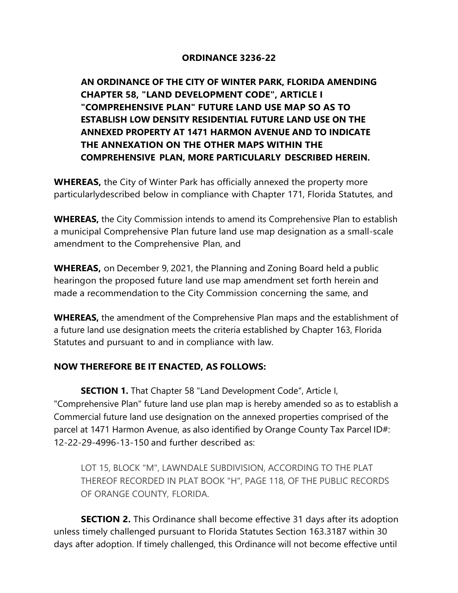## **ORDINANCE 3236-22**

**AN ORDINANCE OF THE CITY OF WINTER PARK, FLORIDA AMENDING CHAPTER 58, "LAND DEVELOPMENT CODE", ARTICLE I "COMPREHENSIVE PLAN" FUTURE LAND USE MAP SO AS TO ESTABLISH LOW DENSITY RESIDENTIAL FUTURE LAND USE ON THE ANNEXED PROPERTY AT 1471 HARMON AVENUE AND TO INDICATE THE ANNEXATION ON THE OTHER MAPS WITHIN THE COMPREHENSIVE PLAN, MORE PARTICULARLY DESCRIBED HEREIN.** 

**WHEREAS,** the City of Winter Park has officially annexed the property more particularly described below in compliance with Chapter 171, Florida Statutes, and

**WHEREAS,** the City Commission intends to amend its Comprehensive Plan to establish a municipal Comprehensive Plan future land use map designation as a small-scale amendment to the Comprehensive Plan, and

**WHEREAS,** on December 9, 2021, the Planning and Zoning Board held a public hearing on the proposed future land use map amendment set forth herein and made a recommendation to the City Commission concerning the same, and

**WHEREAS,** the amendment of the Comprehensive Plan maps and the establishment of a future land use designation meets the criteria established by Chapter 163, Florida Statutes and pursuant to and in compliance with law.

## **NOW THEREFORE BE IT ENACTED, AS FOLLOWS:**

**SECTION 1.** That Chapter 58 "Land Development Code", Article I, "Comprehensive Plan" future land use plan map is hereby amended so as to establish a Commercial future land use designation on the annexed properties comprised of the parcel at 1471 Harmon Avenue, as also identified by Orange County Tax Parcel ID#: 12-22-29-4996-13-150 and further described as:

LOT 15, BLOCK "M", LAWNDALE SUBDIVISION, ACCORDING TO THE PLAT THEREOF RECORDED IN PLAT BOOK "H", PAGE 118, OF THE PUBLIC RECORDS OF ORANGE COUNTY, FLORIDA.

**SECTION 2.** This Ordinance shall become effective 31 days after its adoption unless timely challenged pursuant to Florida Statutes Section 163.3187 within 30 days after adoption. If timely challenged, this Ordinance will not become effective until